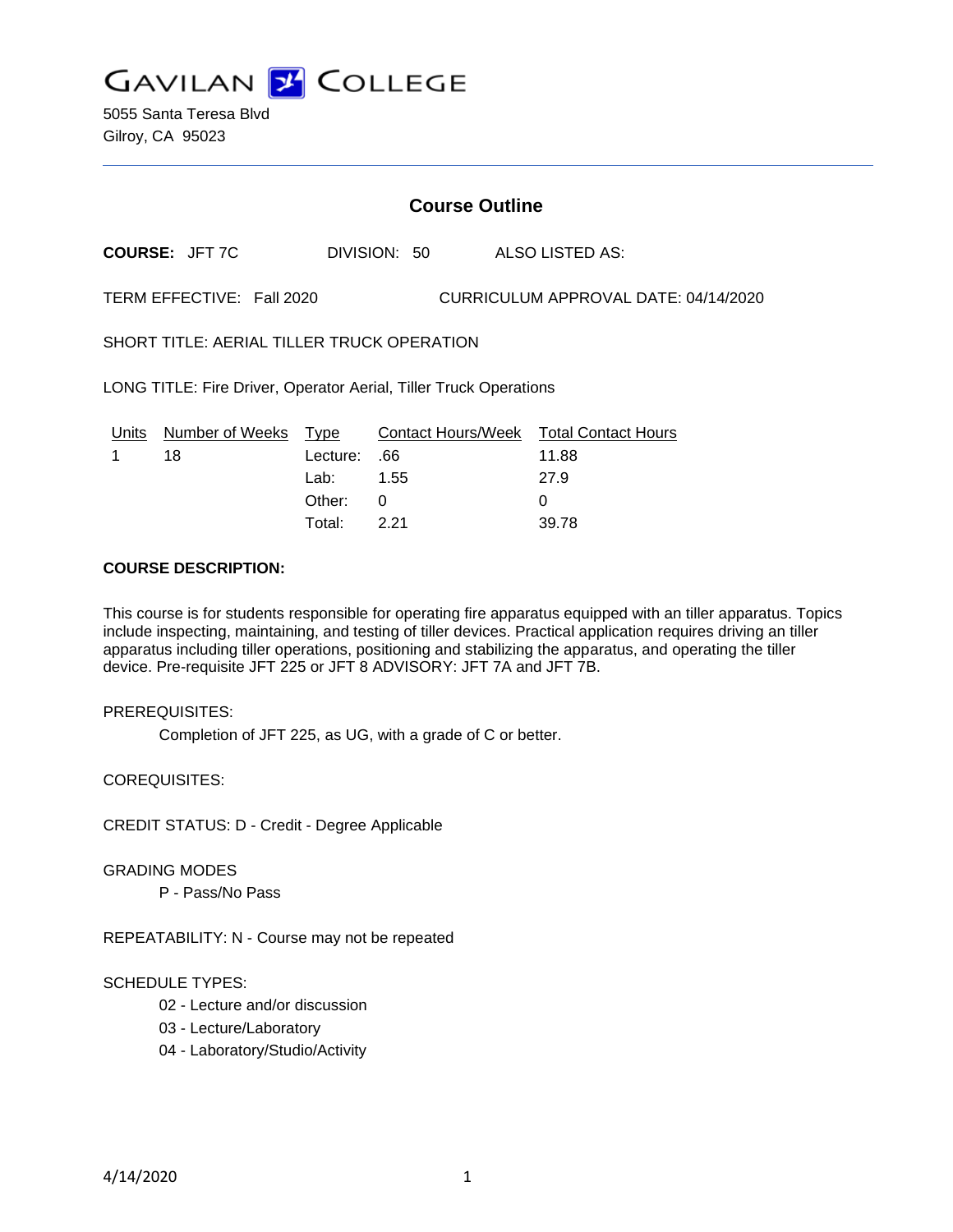

5055 Santa Teresa Blvd Gilroy, CA 95023

# **Course Outline**

**COURSE:** JFT 7C DIVISION: 50 ALSO LISTED AS:

TERM EFFECTIVE: Fall 2020 CURRICULUM APPROVAL DATE: 04/14/2020

SHORT TITLE: AERIAL TILLER TRUCK OPERATION

LONG TITLE: Fire Driver, Operator Aerial, Tiller Truck Operations

|          | Units Number of Weeks Type |              | Contact Hours/Week Total Contact Hours |       |
|----------|----------------------------|--------------|----------------------------------------|-------|
| $\sim$ 1 | 18                         | 66. :Lecture |                                        | 11.88 |
|          |                            | Lab: _       | 1.55                                   | 27.9  |
|          |                            | Other: 0     |                                        |       |
|          |                            | Total:       | 221                                    | 39.78 |

# **COURSE DESCRIPTION:**

This course is for students responsible for operating fire apparatus equipped with an tiller apparatus. Topics include inspecting, maintaining, and testing of tiller devices. Practical application requires driving an tiller apparatus including tiller operations, positioning and stabilizing the apparatus, and operating the tiller device. Pre-requisite JFT 225 or JFT 8 ADVISORY: JFT 7A and JFT 7B.

#### PREREQUISITES:

Completion of JFT 225, as UG, with a grade of C or better.

COREQUISITES:

CREDIT STATUS: D - Credit - Degree Applicable

#### GRADING MODES

P - Pass/No Pass

REPEATABILITY: N - Course may not be repeated

#### SCHEDULE TYPES:

- 02 Lecture and/or discussion
- 03 Lecture/Laboratory
- 04 Laboratory/Studio/Activity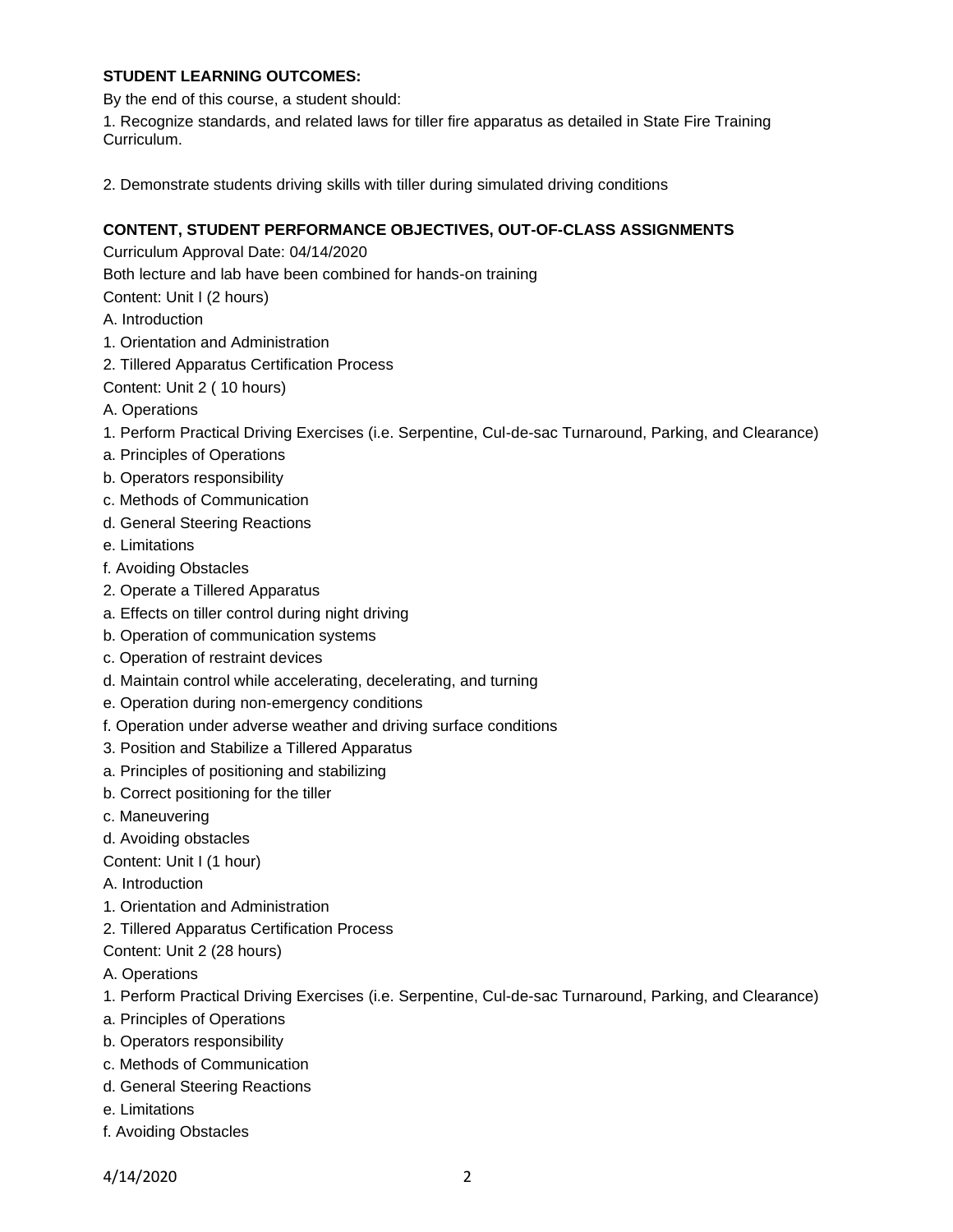# **STUDENT LEARNING OUTCOMES:**

By the end of this course, a student should:

1. Recognize standards, and related laws for tiller fire apparatus as detailed in State Fire Training Curriculum.

2. Demonstrate students driving skills with tiller during simulated driving conditions

# **CONTENT, STUDENT PERFORMANCE OBJECTIVES, OUT-OF-CLASS ASSIGNMENTS**

Curriculum Approval Date: 04/14/2020

Both lecture and lab have been combined for hands-on training

Content: Unit I (2 hours)

- A. Introduction
- 1. Orientation and Administration
- 2. Tillered Apparatus Certification Process
- Content: Unit 2 ( 10 hours)
- A. Operations
- 1. Perform Practical Driving Exercises (i.e. Serpentine, Cul-de-sac Turnaround, Parking, and Clearance)
- a. Principles of Operations
- b. Operators responsibility
- c. Methods of Communication
- d. General Steering Reactions
- e. Limitations
- f. Avoiding Obstacles
- 2. Operate a Tillered Apparatus
- a. Effects on tiller control during night driving
- b. Operation of communication systems
- c. Operation of restraint devices
- d. Maintain control while accelerating, decelerating, and turning
- e. Operation during non-emergency conditions
- f. Operation under adverse weather and driving surface conditions
- 3. Position and Stabilize a Tillered Apparatus
- a. Principles of positioning and stabilizing
- b. Correct positioning for the tiller
- c. Maneuvering
- d. Avoiding obstacles

Content: Unit I (1 hour)

- A. Introduction
- 1. Orientation and Administration
- 2. Tillered Apparatus Certification Process
- Content: Unit 2 (28 hours)
- A. Operations
- 1. Perform Practical Driving Exercises (i.e. Serpentine, Cul-de-sac Turnaround, Parking, and Clearance)
- a. Principles of Operations
- b. Operators responsibility
- c. Methods of Communication
- d. General Steering Reactions
- e. Limitations
- f. Avoiding Obstacles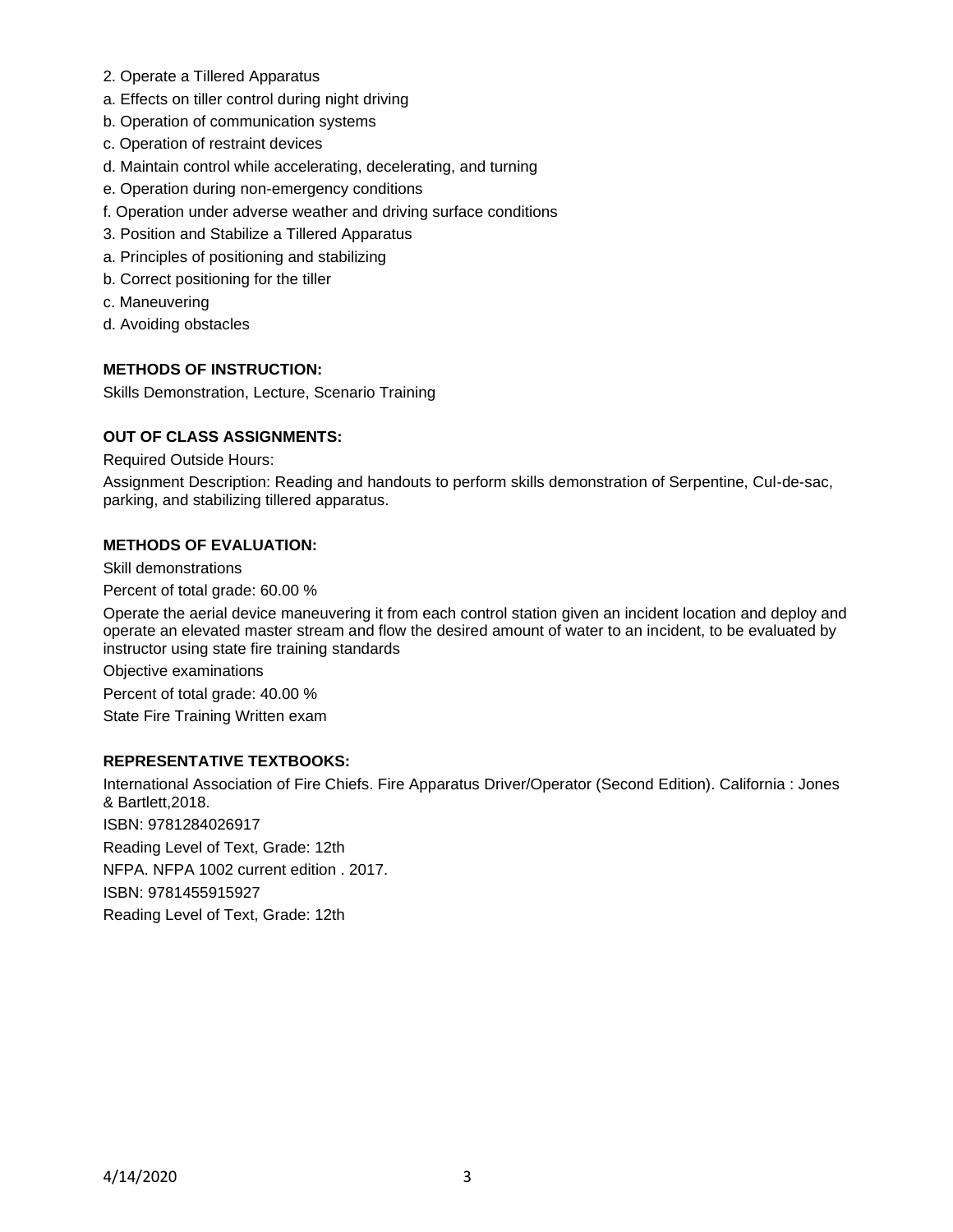- 2. Operate a Tillered Apparatus
- a. Effects on tiller control during night driving
- b. Operation of communication systems
- c. Operation of restraint devices
- d. Maintain control while accelerating, decelerating, and turning
- e. Operation during non-emergency conditions
- f. Operation under adverse weather and driving surface conditions
- 3. Position and Stabilize a Tillered Apparatus
- a. Principles of positioning and stabilizing
- b. Correct positioning for the tiller
- c. Maneuvering
- d. Avoiding obstacles

## **METHODS OF INSTRUCTION:**

Skills Demonstration, Lecture, Scenario Training

## **OUT OF CLASS ASSIGNMENTS:**

Required Outside Hours:

Assignment Description: Reading and handouts to perform skills demonstration of Serpentine, Cul-de-sac, parking, and stabilizing tillered apparatus.

#### **METHODS OF EVALUATION:**

Skill demonstrations

Percent of total grade: 60.00 %

Operate the aerial device maneuvering it from each control station given an incident location and deploy and operate an elevated master stream and flow the desired amount of water to an incident, to be evaluated by instructor using state fire training standards

Objective examinations

Percent of total grade: 40.00 %

State Fire Training Written exam

## **REPRESENTATIVE TEXTBOOKS:**

International Association of Fire Chiefs. Fire Apparatus Driver/Operator (Second Edition). California : Jones & Bartlett,2018. ISBN: 9781284026917 Reading Level of Text, Grade: 12th NFPA. NFPA 1002 current edition . 2017. ISBN: 9781455915927 Reading Level of Text, Grade: 12th